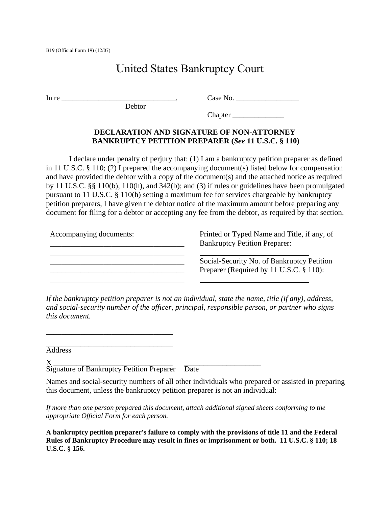B19 (Official Form 19) (12/07)

## United States Bankruptcy Court

 $\text{In re}$   $\frac{1}{2}$   $\frac{1}{2}$   $\frac{1}{2}$   $\frac{1}{2}$   $\frac{1}{2}$   $\frac{1}{2}$   $\frac{1}{2}$   $\frac{1}{2}$   $\frac{1}{2}$   $\frac{1}{2}$   $\frac{1}{2}$   $\frac{1}{2}$   $\frac{1}{2}$   $\frac{1}{2}$   $\frac{1}{2}$   $\frac{1}{2}$   $\frac{1}{2}$   $\frac{1}{2}$   $\frac{1}{2}$   $\frac{1}{2}$   $\frac{1}{2}$   $\$ 

Debtor

Chapter \_\_\_\_\_\_\_\_\_\_\_\_\_\_

## **DECLARATION AND SIGNATURE OF NON-ATTORNEY BANKRUPTCY PETITION PREPARER (***See* **11 U.S.C. § 110)**

I declare under penalty of perjury that: (1) I am a bankruptcy petition preparer as defined in 11 U.S.C. § 110; (2) I prepared the accompanying document(s) listed below for compensation and have provided the debtor with a copy of the document(s) and the attached notice as required by 11 U.S.C. §§ 110(b), 110(h), and 342(b); and (3) if rules or guidelines have been promulgated pursuant to 11 U.S.C. § 110(h) setting a maximum fee for services chargeable by bankruptcy petition preparers, I have given the debtor notice of the maximum amount before preparing any document for filing for a debtor or accepting any fee from the debtor, as required by that section.

| Accompanying documents: | Printed or Typed Name and Title, if any, of<br><b>Bankruptcy Petition Preparer:</b>   |
|-------------------------|---------------------------------------------------------------------------------------|
|                         | Social-Security No. of Bankruptcy Petition<br>Preparer (Required by 11 U.S.C. § 110): |

*If the bankruptcy petition preparer is not an individual, state the name, title (if any), address, and social-security number of the officer, principal, responsible person, or partner who signs this document.*

\_\_\_\_\_\_\_\_\_\_\_\_\_\_\_\_\_\_\_\_\_\_\_\_\_\_\_\_\_\_\_\_\_ Address

 $X \longrightarrow 0$ Signature of Bankruptcy Petition Preparer Date

\_\_\_\_\_\_\_\_\_\_\_\_\_\_\_\_\_\_\_\_\_\_\_\_\_\_\_\_\_\_\_\_\_

Names and social-security numbers of all other individuals who prepared or assisted in preparing this document, unless the bankruptcy petition preparer is not an individual:

*If more than one person prepared this document, attach additional signed sheets conforming to the appropriate Official Form for each person.*

**A bankruptcy petition preparer's failure to comply with the provisions of title 11 and the Federal Rules of Bankruptcy Procedure may result in fines or imprisonment or both. 11 U.S.C. § 110; 18 U.S.C. § 156.**